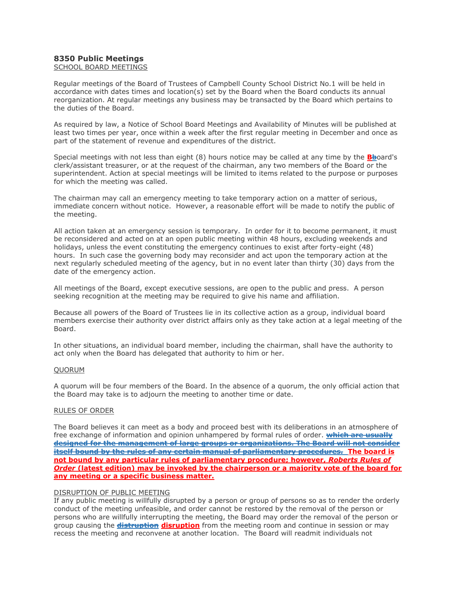## **8350 Public Meetings**

SCHOOL BOARD MEETINGS

Regular meetings of the Board of Trustees of Campbell County School District No.1 will be held in accordance with dates times and location(s) set by the Board when the Board conducts its annual reorganization. At regular meetings any business may be transacted by the Board which pertains to the duties of the Board.

As required by law, a Notice of School Board Meetings and Availability of Minutes will be published at least two times per year, once within a week after the first regular meeting in December and once as part of the statement of revenue and expenditures of the district.

Special meetings with not less than eight (8) hours notice may be called at any time by the **Bb**oard's clerk/assistant treasurer, or at the request of the chairman, any two members of the Board or the superintendent. Action at special meetings will be limited to items related to the purpose or purposes for which the meeting was called.

The chairman may call an emergency meeting to take temporary action on a matter of serious, immediate concern without notice. However, a reasonable effort will be made to notify the public of the meeting.

All action taken at an emergency session is temporary. In order for it to become permanent, it must be reconsidered and acted on at an open public meeting within 48 hours, excluding weekends and holidays, unless the event constituting the emergency continues to exist after forty-eight (48) hours. In such case the governing body may reconsider and act upon the temporary action at the next regularly scheduled meeting of the agency, but in no event later than thirty (30) days from the date of the emergency action.

All meetings of the Board, except executive sessions, are open to the public and press. A person seeking recognition at the meeting may be required to give his name and affiliation.

Because all powers of the Board of Trustees lie in its collective action as a group, individual board members exercise their authority over district affairs only as they take action at a legal meeting of the Board.

In other situations, an individual board member, including the chairman, shall have the authority to act only when the Board has delegated that authority to him or her.

## QUORUM

A quorum will be four members of the Board. In the absence of a quorum, the only official action that the Board may take is to adjourn the meeting to another time or date.

## RULES OF ORDER

The Board believes it can meet as a body and proceed best with its deliberations in an atmosphere of free exchange of information and opinion unhampered by formal rules of order. **which are usually designed for the management of large groups or organizations. The Board will not consider itself bound by the rules of any certain manual of parliamentary procedures. The board is not bound by any particular rules of parliamentary procedure; however,** *Roberts Rules of Order* **(latest edition) may be invoked by the chairperson or a majority vote of the board for any meeting or a specific business matter.**

## DISRUPTION OF PUBLIC MEETING

If any public meeting is willfully disrupted by a person or group of persons so as to render the orderly conduct of the meeting unfeasible, and order cannot be restored by the removal of the person or persons who are willfully interrupting the meeting, the Board may order the removal of the person or group causing the **distruption disruption** from the meeting room and continue in session or may recess the meeting and reconvene at another location. The Board will readmit individuals not